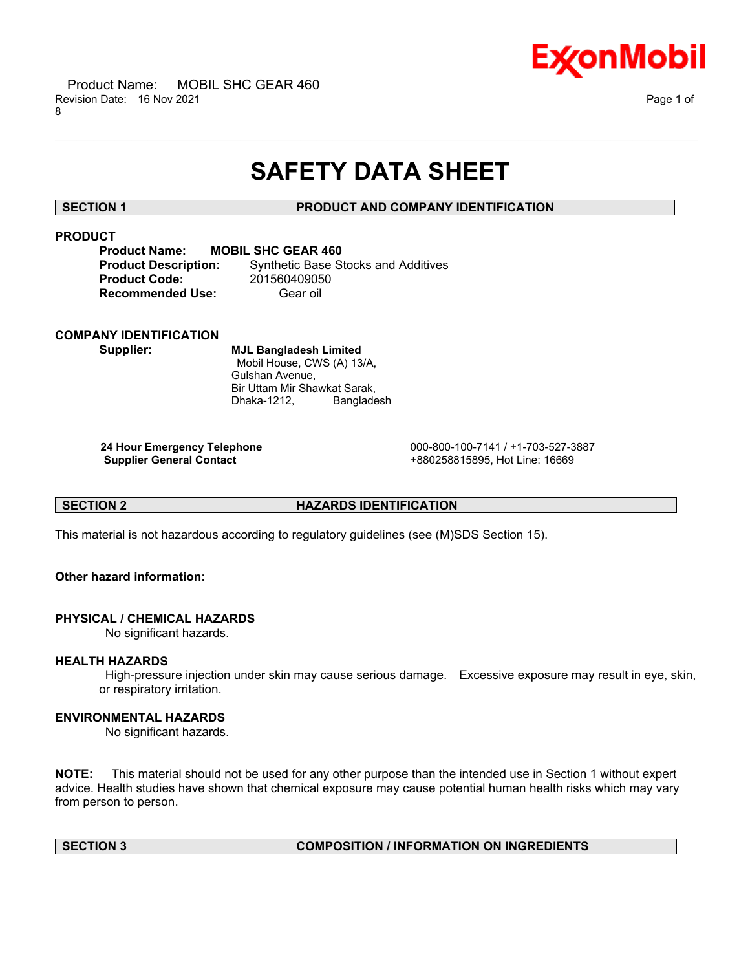

# **SAFETY DATA SHEET**

\_\_\_\_\_\_\_\_\_\_\_\_\_\_\_\_\_\_\_\_\_\_\_\_\_\_\_\_\_\_\_\_\_\_\_\_\_\_\_\_\_\_\_\_\_\_\_\_\_\_\_\_\_\_\_\_\_\_\_\_\_\_\_\_\_\_\_\_\_\_\_\_\_\_\_\_\_\_\_\_\_\_\_\_\_\_\_\_\_\_\_\_\_\_\_\_\_\_\_\_\_\_\_\_\_\_\_\_\_\_\_\_\_\_\_\_\_\_

# **SECTION 1 PRODUCT AND COMPANY IDENTIFICATION**

# **PRODUCT**

| <b>Product Name:</b>        | <b>MOBIL SHC GEAR 460</b>                  |
|-----------------------------|--------------------------------------------|
| <b>Product Description:</b> | <b>Synthetic Base Stocks and Additives</b> |
| <b>Product Code:</b>        | 201560409050                               |
| <b>Recommended Use:</b>     | Gear oil                                   |

# **COMPANY IDENTIFICATION**

**Supplier: MJL Bangladesh Limited** Mobil House, CWS (A) 13/A, Gulshan Avenue, Bir Uttam Mir Shawkat Sarak, Dhaka-1212, Bangladesh

**24 Hour Emergency Telephone** 000-800-100-7141 / +1-703-527-3887 **Supplier General Contact** +880258815895, Hot Line: 16669

# **SECTION 2 HAZARDS IDENTIFICATION**

This material is not hazardous according to regulatory guidelines (see (M)SDS Section 15).

# **Other hazard information:**

# **PHYSICAL / CHEMICAL HAZARDS**

No significant hazards.

# **HEALTH HAZARDS**

High-pressure injection under skin may cause serious damage. Excessive exposure may result in eye, skin, or respiratory irritation.

# **ENVIRONMENTAL HAZARDS**

No significant hazards.

**NOTE:** This material should not be used for any other purpose than the intended use in Section 1 without expert advice. Health studies have shown that chemical exposure may cause potential human health risks which may vary from person to person.

# **SECTION 3 COMPOSITION / INFORMATION ON INGREDIENTS**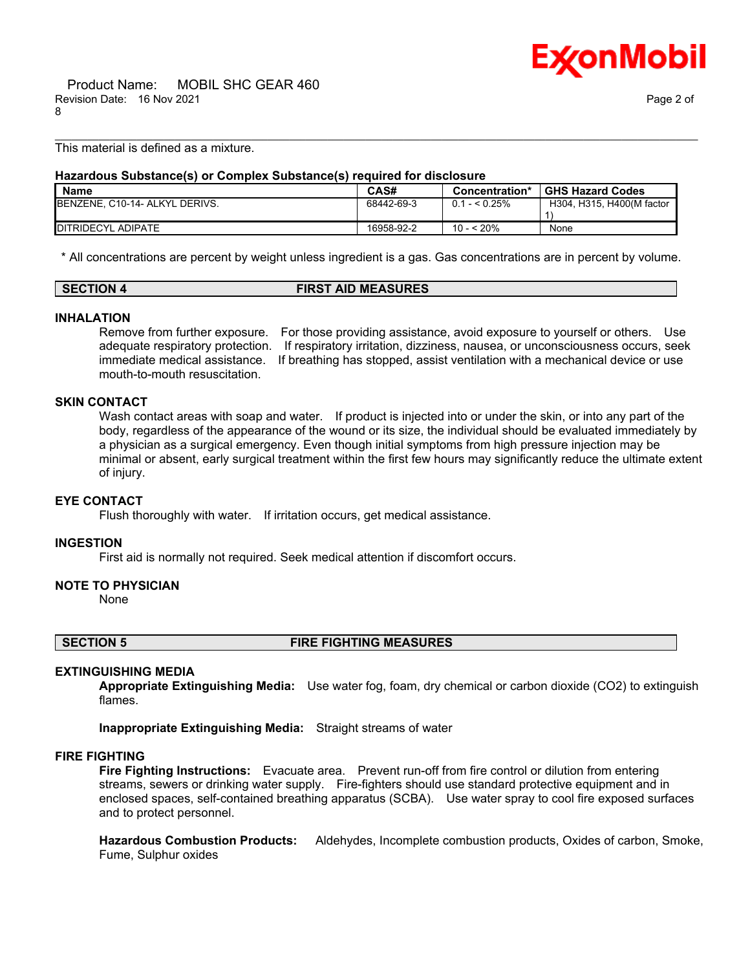

This material is defined as a mixture.

# **Hazardous Substance(s) or Complex Substance(s) required for disclosure**

| <b>Name</b>                    | CAS#       | Concentration*  | <b>GHS Hazard Codes</b>   |
|--------------------------------|------------|-----------------|---------------------------|
| BENZENE, C10-14- ALKYL DERIVS. | 68442-69-3 | $0.1 -  0.25\%$ | H304, H315, H400(M factor |
| <b>IDITRIDECYL ADIPATE</b>     | 16958-92-2 | 10 - < 20%      | None                      |

\_\_\_\_\_\_\_\_\_\_\_\_\_\_\_\_\_\_\_\_\_\_\_\_\_\_\_\_\_\_\_\_\_\_\_\_\_\_\_\_\_\_\_\_\_\_\_\_\_\_\_\_\_\_\_\_\_\_\_\_\_\_\_\_\_\_\_\_\_\_\_\_\_\_\_\_\_\_\_\_\_\_\_\_\_\_\_\_\_\_\_\_\_\_\_\_\_\_\_\_\_\_\_\_\_\_\_\_\_\_\_\_\_\_\_\_\_\_

\* All concentrations are percent by weight unless ingredient is a gas. Gas concentrations are in percent by volume.

### **SECTION 4 FIRST AID MEASURES**

#### **INHALATION**

Remove from further exposure. For those providing assistance, avoid exposure to yourself or others. Use adequate respiratory protection. If respiratory irritation, dizziness, nausea, or unconsciousness occurs, seek immediate medical assistance. If breathing has stopped, assist ventilation with a mechanical device or use mouth-to-mouth resuscitation.

#### **SKIN CONTACT**

Wash contact areas with soap and water. If product is injected into or under the skin, or into any part of the body, regardless of the appearance of the wound or its size, the individual should be evaluated immediately by a physician as a surgical emergency. Even though initial symptoms from high pressure injection may be minimal or absent, early surgical treatment within the first few hours may significantly reduce the ultimate extent of injury.

### **EYE CONTACT**

Flush thoroughly with water. If irritation occurs, get medical assistance.

#### **INGESTION**

First aid is normally not required. Seek medical attention if discomfort occurs.

# **NOTE TO PHYSICIAN**

None

**SECTION 5 FIRE FIGHTING MEASURES**

#### **EXTINGUISHING MEDIA**

**Appropriate Extinguishing Media:** Use water fog, foam, dry chemical or carbon dioxide (CO2) to extinguish flames.

**Inappropriate Extinguishing Media:** Straight streams of water

# **FIRE FIGHTING**

**Fire Fighting Instructions:** Evacuate area. Prevent run-off from fire control or dilution from entering streams, sewers or drinking water supply. Fire-fighters should use standard protective equipment and in enclosed spaces, self-contained breathing apparatus (SCBA). Use water spray to cool fire exposed surfaces and to protect personnel.

**Hazardous Combustion Products:** Aldehydes, Incomplete combustion products, Oxides of carbon, Smoke, Fume, Sulphur oxides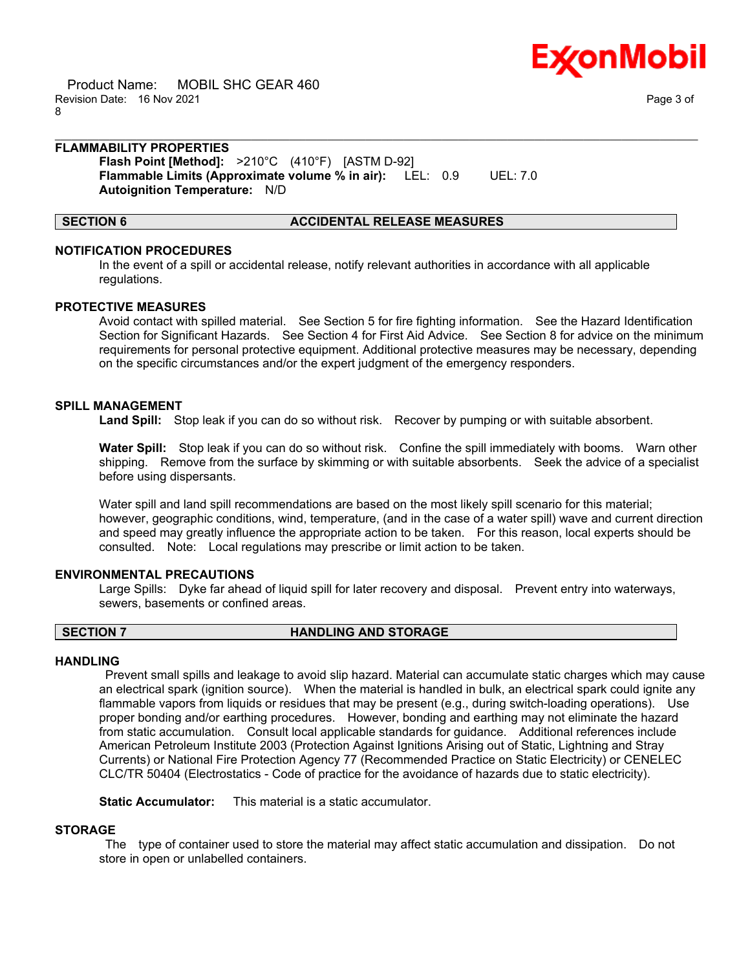

 Product Name: MOBIL SHC GEAR 460 Revision Date: 16 Nov 2021 Page 3 of 8

# **FLAMMABILITY PROPERTIES**

**Flash Point [Method]:** >210°C (410°F) [ASTM D-92] **Flammable Limits (Approximate volume % in air):** LEL: 0.9 UEL: 7.0 **Autoignition Temperature:** N/D

### **SECTION 6 ACCIDENTAL RELEASE MEASURES**

### **NOTIFICATION PROCEDURES**

In the event of a spill or accidental release, notify relevant authorities in accordance with all applicable regulations.

\_\_\_\_\_\_\_\_\_\_\_\_\_\_\_\_\_\_\_\_\_\_\_\_\_\_\_\_\_\_\_\_\_\_\_\_\_\_\_\_\_\_\_\_\_\_\_\_\_\_\_\_\_\_\_\_\_\_\_\_\_\_\_\_\_\_\_\_\_\_\_\_\_\_\_\_\_\_\_\_\_\_\_\_\_\_\_\_\_\_\_\_\_\_\_\_\_\_\_\_\_\_\_\_\_\_\_\_\_\_\_\_\_\_\_\_\_\_

#### **PROTECTIVE MEASURES**

Avoid contact with spilled material. See Section 5 for fire fighting information. See the Hazard Identification Section for Significant Hazards. See Section 4 for First Aid Advice. See Section 8 for advice on the minimum requirements for personal protective equipment. Additional protective measures may be necessary, depending on the specific circumstances and/or the expert judgment of the emergency responders.

# **SPILL MANAGEMENT**

**Land Spill:** Stop leak if you can do so without risk. Recover by pumping or with suitable absorbent.

**Water Spill:** Stop leak if you can do so without risk. Confine the spill immediately with booms. Warn other shipping. Remove from the surface by skimming or with suitable absorbents. Seek the advice of a specialist before using dispersants.

Water spill and land spill recommendations are based on the most likely spill scenario for this material; however, geographic conditions, wind, temperature, (and in the case of a water spill) wave and current direction and speed may greatly influence the appropriate action to be taken. For this reason, local experts should be consulted. Note: Local regulations may prescribe or limit action to be taken.

#### **ENVIRONMENTAL PRECAUTIONS**

Large Spills: Dyke far ahead of liquid spill for later recovery and disposal. Prevent entry into waterways, sewers, basements or confined areas.

#### **SECTION 7 HANDLING AND STORAGE**

# **HANDLING**

Prevent small spills and leakage to avoid slip hazard. Material can accumulate static charges which may cause an electrical spark (ignition source). When the material is handled in bulk, an electrical spark could ignite any flammable vapors from liquids or residues that may be present (e.g., during switch-loading operations). Use proper bonding and/or earthing procedures. However, bonding and earthing may not eliminate the hazard from static accumulation. Consult local applicable standards for guidance. Additional references include American Petroleum Institute 2003 (Protection Against Ignitions Arising out of Static, Lightning and Stray Currents) or National Fire Protection Agency 77 (Recommended Practice on Static Electricity) or CENELEC CLC/TR 50404 (Electrostatics - Code of practice for the avoidance of hazards due to static electricity).

**Static Accumulator:** This material is a static accumulator.

### **STORAGE**

The type of container used to store the material may affect static accumulation and dissipation. Do not store in open or unlabelled containers.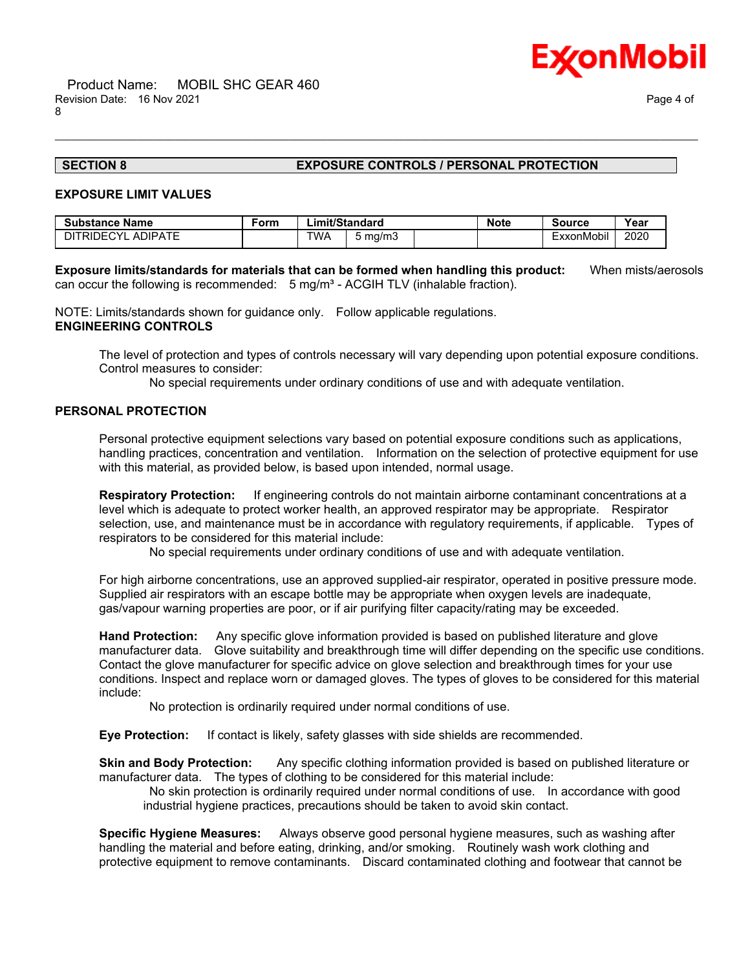

# **SECTION 8 EXPOSURE CONTROLS / PERSONAL PROTECTION**

### **EXPOSURE LIMIT VALUES**

| <b>Substance Name</b> | Form | Limit/Standard |         | <b>Note</b> | Source     | Year |
|-----------------------|------|----------------|---------|-------------|------------|------|
| DITRIDECYL ADIPATE    |      | TWA            | 5 ma/m3 |             | ExxonMobil | 2020 |

**Exposure limits/standards for materials that can be formed when handling this product:** When mists/aerosols can occur the following is recommended:  $5 \text{ mg/m}^3$  - ACGIH TLV (inhalable fraction).

\_\_\_\_\_\_\_\_\_\_\_\_\_\_\_\_\_\_\_\_\_\_\_\_\_\_\_\_\_\_\_\_\_\_\_\_\_\_\_\_\_\_\_\_\_\_\_\_\_\_\_\_\_\_\_\_\_\_\_\_\_\_\_\_\_\_\_\_\_\_\_\_\_\_\_\_\_\_\_\_\_\_\_\_\_\_\_\_\_\_\_\_\_\_\_\_\_\_\_\_\_\_\_\_\_\_\_\_\_\_\_\_\_\_\_\_\_\_

NOTE: Limits/standards shown for guidance only. Follow applicable regulations. **ENGINEERING CONTROLS**

The level of protection and types of controls necessary will vary depending upon potential exposure conditions. Control measures to consider:

No special requirements under ordinary conditions of use and with adequate ventilation.

# **PERSONAL PROTECTION**

Personal protective equipment selections vary based on potential exposure conditions such as applications, handling practices, concentration and ventilation. Information on the selection of protective equipment for use with this material, as provided below, is based upon intended, normal usage.

**Respiratory Protection:** If engineering controls do not maintain airborne contaminant concentrations at a level which is adequate to protect worker health, an approved respirator may be appropriate. Respirator selection, use, and maintenance must be in accordance with regulatory requirements, if applicable. Types of respirators to be considered for this material include:

No special requirements under ordinary conditions of use and with adequate ventilation.

For high airborne concentrations, use an approved supplied-air respirator, operated in positive pressure mode. Supplied air respirators with an escape bottle may be appropriate when oxygen levels are inadequate, gas/vapour warning properties are poor, or if air purifying filter capacity/rating may be exceeded.

**Hand Protection:** Any specific glove information provided is based on published literature and glove manufacturer data. Glove suitability and breakthrough time will differ depending on the specific use conditions. Contact the glove manufacturer for specific advice on glove selection and breakthrough times for your use conditions. Inspect and replace worn or damaged gloves. The types of gloves to be considered for this material include:

No protection is ordinarily required under normal conditions of use.

**Eye Protection:** If contact is likely, safety glasses with side shields are recommended.

**Skin and Body Protection:** Any specific clothing information provided is based on published literature or manufacturer data. The types of clothing to be considered for this material include:

No skin protection is ordinarily required under normal conditions of use. In accordance with good industrial hygiene practices, precautions should be taken to avoid skin contact.

**Specific Hygiene Measures:** Always observe good personal hygiene measures, such as washing after handling the material and before eating, drinking, and/or smoking. Routinely wash work clothing and protective equipment to remove contaminants. Discard contaminated clothing and footwear that cannot be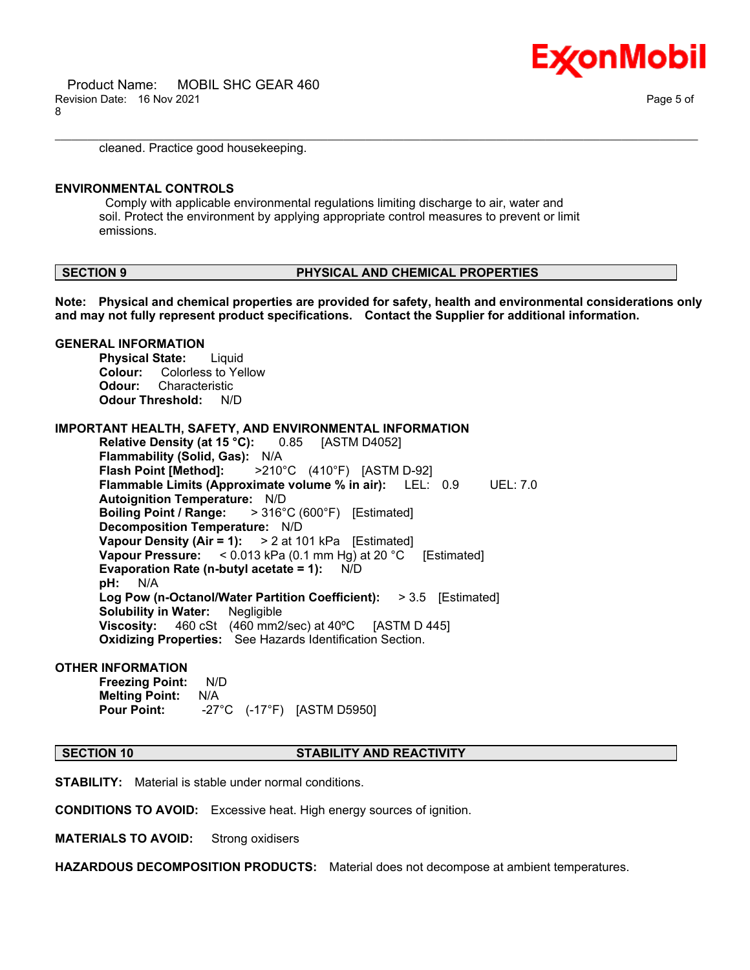

cleaned. Practice good housekeeping.

# **ENVIRONMENTAL CONTROLS**

**GENERAL INFORMATION**

Comply with applicable environmental regulations limiting discharge to air, water and soil. Protect the environment by applying appropriate control measures to prevent or limit emissions.

#### **SECTION 9 PHYSICAL AND CHEMICAL PROPERTIES**

**Note: Physical and chemical properties are provided for safety, health and environmental considerations only and may not fully represent product specifications. Contact the Supplier for additional information.**

\_\_\_\_\_\_\_\_\_\_\_\_\_\_\_\_\_\_\_\_\_\_\_\_\_\_\_\_\_\_\_\_\_\_\_\_\_\_\_\_\_\_\_\_\_\_\_\_\_\_\_\_\_\_\_\_\_\_\_\_\_\_\_\_\_\_\_\_\_\_\_\_\_\_\_\_\_\_\_\_\_\_\_\_\_\_\_\_\_\_\_\_\_\_\_\_\_\_\_\_\_\_\_\_\_\_\_\_\_\_\_\_\_\_\_\_\_\_

# **Physical State:** Liquid **Colour:** Colorless to Yellow **Odour:** Characteristic **Odour Threshold:** N/D **IMPORTANT HEALTH, SAFETY, AND ENVIRONMENTAL INFORMATION Relative Density (at 15 °C):** 0.85 [ASTM D4052] **Flammability (Solid, Gas):** N/A **Flash Point [Method]:** >210°C (410°F) [ASTM D-92] **Flammable Limits (Approximate volume % in air):** LEL: 0.9 UEL: 7.0 **Autoignition Temperature:** N/D **Boiling Point / Range:** > 316°C (600°F) [Estimated] **Decomposition Temperature:** N/D **Vapour Density (Air = 1):** > 2 at 101 kPa [Estimated] **Vapour Pressure:** < 0.013 kPa (0.1 mm Hg) at 20 °C [Estimated] **Evaporation Rate (n-butyl acetate = 1):** N/D **pH:** N/A **Log Pow (n-Octanol/Water Partition Coefficient):** > 3.5 [Estimated] **Solubility in Water:** Negligible **Viscosity:** 460 cSt (460 mm2/sec) at 40ºC [ASTM D 445] **Oxidizing Properties:** See Hazards Identification Section.

#### **OTHER INFORMATION**

**Freezing Point:** N/D **Melting Point:** N/A **Pour Point:** -27°C (-17°F) [ASTM D5950]

#### **SECTION 10 STABILITY AND REACTIVITY**

**STABILITY:** Material is stable under normal conditions.

**CONDITIONS TO AVOID:** Excessive heat. High energy sources of ignition.

**MATERIALS TO AVOID:** Strong oxidisers

**HAZARDOUS DECOMPOSITION PRODUCTS:** Material does not decompose at ambient temperatures.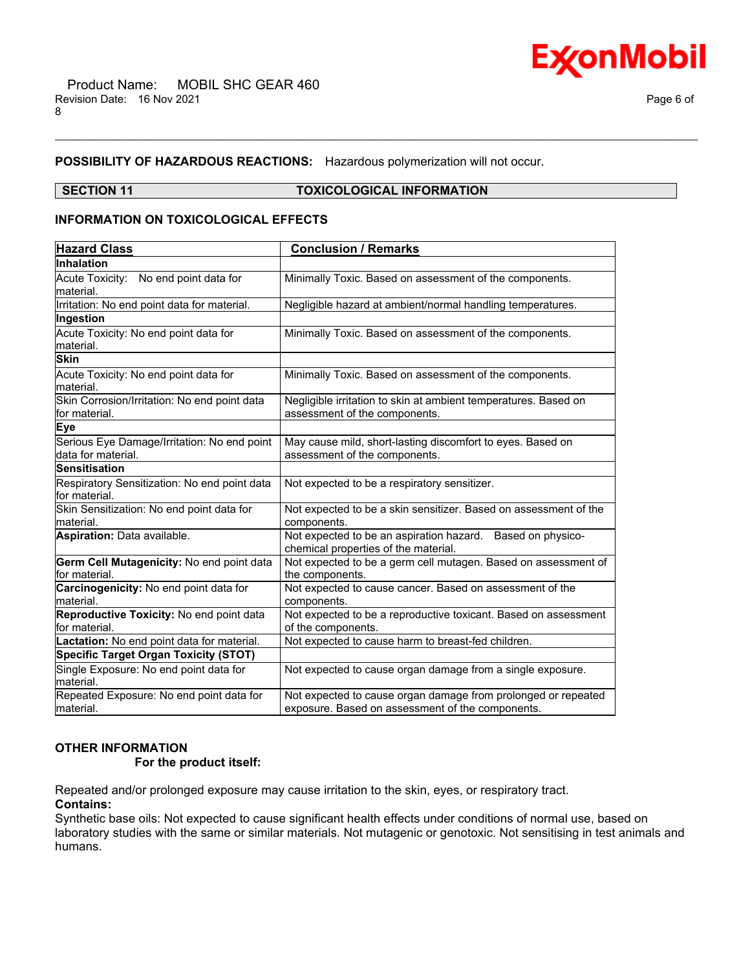



# **POSSIBILITY OF HAZARDOUS REACTIONS:** Hazardous polymerization will not occur.

## **SECTION 11 TOXICOLOGICAL INFORMATION**

\_\_\_\_\_\_\_\_\_\_\_\_\_\_\_\_\_\_\_\_\_\_\_\_\_\_\_\_\_\_\_\_\_\_\_\_\_\_\_\_\_\_\_\_\_\_\_\_\_\_\_\_\_\_\_\_\_\_\_\_\_\_\_\_\_\_\_\_\_\_\_\_\_\_\_\_\_\_\_\_\_\_\_\_\_\_\_\_\_\_\_\_\_\_\_\_\_\_\_\_\_\_\_\_\_\_\_\_\_\_\_\_\_\_\_\_\_\_

# **INFORMATION ON TOXICOLOGICAL EFFECTS**

| <b>Hazard Class</b>                                           | <b>Conclusion / Remarks</b>                                                                      |  |  |  |
|---------------------------------------------------------------|--------------------------------------------------------------------------------------------------|--|--|--|
| Inhalation                                                    |                                                                                                  |  |  |  |
| Acute Toxicity: No end point data for                         | Minimally Toxic. Based on assessment of the components.                                          |  |  |  |
| lmaterial.                                                    |                                                                                                  |  |  |  |
| Irritation: No end point data for material.                   | Negligible hazard at ambient/normal handling temperatures.                                       |  |  |  |
| Ingestion                                                     |                                                                                                  |  |  |  |
| Acute Toxicity: No end point data for                         | Minimally Toxic. Based on assessment of the components.                                          |  |  |  |
| material.                                                     |                                                                                                  |  |  |  |
| <b>Skin</b>                                                   |                                                                                                  |  |  |  |
| Acute Toxicity: No end point data for<br>material.            | Minimally Toxic. Based on assessment of the components.                                          |  |  |  |
| Skin Corrosion/Irritation: No end point data<br>for material. | Negligible irritation to skin at ambient temperatures. Based on<br>assessment of the components. |  |  |  |
| Eye                                                           |                                                                                                  |  |  |  |
| Serious Eye Damage/Irritation: No end point                   | May cause mild, short-lasting discomfort to eyes. Based on                                       |  |  |  |
| data for material.                                            | assessment of the components.                                                                    |  |  |  |
| <b>Sensitisation</b>                                          |                                                                                                  |  |  |  |
| Respiratory Sensitization: No end point data                  | Not expected to be a respiratory sensitizer.                                                     |  |  |  |
| for material.                                                 |                                                                                                  |  |  |  |
| Skin Sensitization: No end point data for                     | Not expected to be a skin sensitizer. Based on assessment of the                                 |  |  |  |
| lmaterial.                                                    | components.                                                                                      |  |  |  |
| Aspiration: Data available.                                   | Not expected to be an aspiration hazard. Based on physico-                                       |  |  |  |
|                                                               | chemical properties of the material.                                                             |  |  |  |
| Germ Cell Mutagenicity: No end point data                     | Not expected to be a germ cell mutagen. Based on assessment of                                   |  |  |  |
| for material.                                                 | the components.                                                                                  |  |  |  |
| Carcinogenicity: No end point data for                        | Not expected to cause cancer. Based on assessment of the                                         |  |  |  |
| lmaterial.                                                    | components.                                                                                      |  |  |  |
| Reproductive Toxicity: No end point data<br>lfor material.    | Not expected to be a reproductive toxicant. Based on assessment<br>of the components.            |  |  |  |
| Lactation: No end point data for material.                    | Not expected to cause harm to breast-fed children.                                               |  |  |  |
| <b>Specific Target Organ Toxicity (STOT)</b>                  |                                                                                                  |  |  |  |
| Single Exposure: No end point data for                        | Not expected to cause organ damage from a single exposure.                                       |  |  |  |
| lmaterial.                                                    |                                                                                                  |  |  |  |
| Repeated Exposure: No end point data for                      | Not expected to cause organ damage from prolonged or repeated                                    |  |  |  |
| material.                                                     | exposure. Based on assessment of the components.                                                 |  |  |  |

# **OTHER INFORMATION**

# **For the product itself:**

Repeated and/or prolonged exposure may cause irritation to the skin, eyes, or respiratory tract. **Contains:**

Synthetic base oils: Not expected to cause significant health effects under conditions of normal use, based on laboratory studies with the same or similar materials. Not mutagenic or genotoxic. Not sensitising in test animals and humans.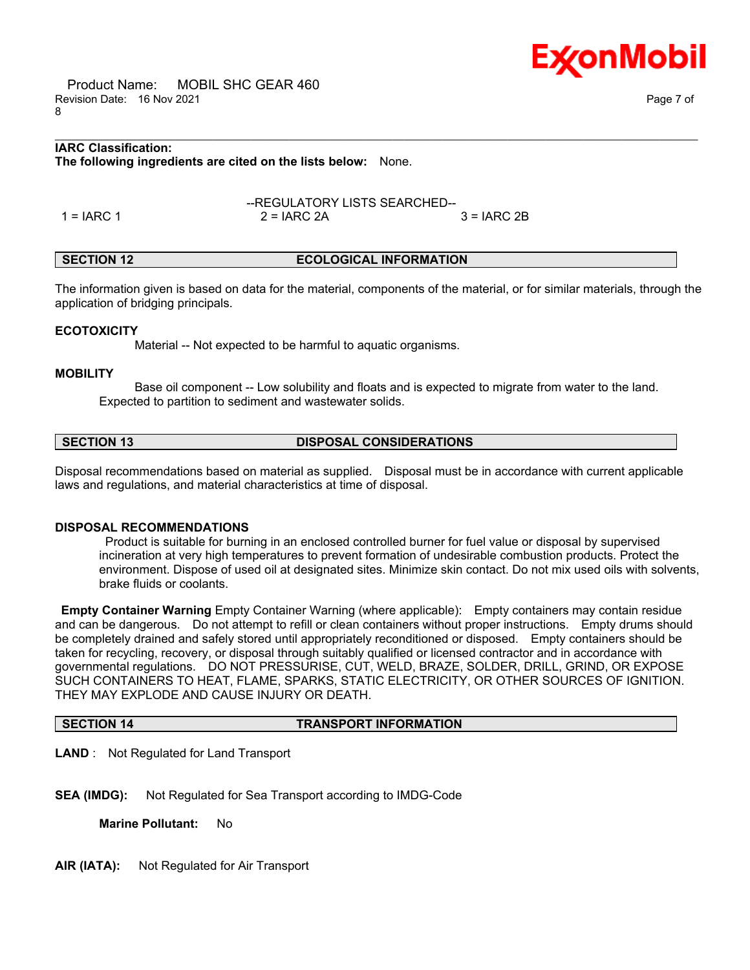Product Name: MOBIL SHC GEAR 460 Revision Date: 16 Nov 2021 Page 7 of 8

# **IARC Classification: The following ingredients are cited on the lists below:** None.

1 = IARC 1 2 = IARC 2A 3 = IARC 2B

# **SECTION 12 ECOLOGICAL INFORMATION**

The information given is based on data for the material, components of the material, or for similar materials, through the application of bridging principals.

\_\_\_\_\_\_\_\_\_\_\_\_\_\_\_\_\_\_\_\_\_\_\_\_\_\_\_\_\_\_\_\_\_\_\_\_\_\_\_\_\_\_\_\_\_\_\_\_\_\_\_\_\_\_\_\_\_\_\_\_\_\_\_\_\_\_\_\_\_\_\_\_\_\_\_\_\_\_\_\_\_\_\_\_\_\_\_\_\_\_\_\_\_\_\_\_\_\_\_\_\_\_\_\_\_\_\_\_\_\_\_\_\_\_\_\_\_\_

--REGULATORY LISTS SEARCHED--

# **ECOTOXICITY**

Material -- Not expected to be harmful to aquatic organisms.

### **MOBILITY**

 Base oil component -- Low solubility and floats and is expected to migrate from water to the land. Expected to partition to sediment and wastewater solids.

# **SECTION 13 DISPOSAL CONSIDERATIONS**

Disposal recommendations based on material as supplied. Disposal must be in accordance with current applicable laws and regulations, and material characteristics at time of disposal.

#### **DISPOSAL RECOMMENDATIONS**

Product is suitable for burning in an enclosed controlled burner for fuel value or disposal by supervised incineration at very high temperatures to prevent formation of undesirable combustion products. Protect the environment. Dispose of used oil at designated sites. Minimize skin contact. Do not mix used oils with solvents, brake fluids or coolants.

**Empty Container Warning** Empty Container Warning (where applicable): Empty containers may contain residue and can be dangerous. Do not attempt to refill or clean containers without proper instructions. Empty drums should be completely drained and safely stored until appropriately reconditioned or disposed. Empty containers should be taken for recycling, recovery, or disposal through suitably qualified or licensed contractor and in accordance with governmental regulations. DO NOT PRESSURISE, CUT, WELD, BRAZE, SOLDER, DRILL, GRIND, OR EXPOSE SUCH CONTAINERS TO HEAT, FLAME, SPARKS, STATIC ELECTRICITY, OR OTHER SOURCES OF IGNITION. THEY MAY EXPLODE AND CAUSE INJURY OR DEATH.

#### **SECTION 14 TRANSPORT INFORMATION**

**LAND** : Not Regulated for Land Transport

**SEA (IMDG):** Not Regulated for Sea Transport according to IMDG-Code

**Marine Pollutant:** No

**AIR (IATA):** Not Regulated for Air Transport

Ex⁄onMobil